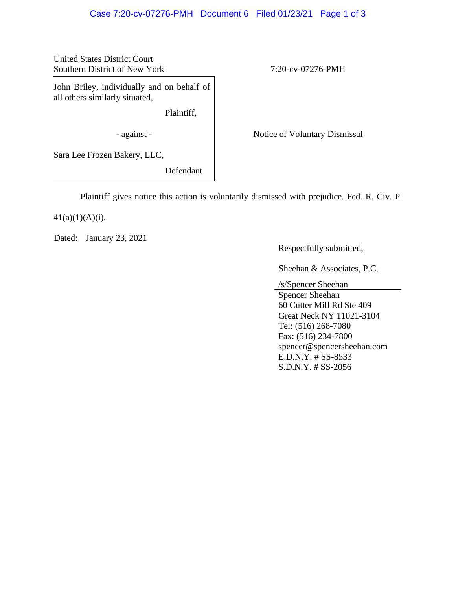## Case 7:20-cv-07276-PMH Document 6 Filed 01/23/21 Page 1 of 3

United States District Court Southern District of New York 7:20-cv-07276-PMH

John Briley, individually and on behalf of all others similarly situated,

Plaintiff,

- against - Notice of Voluntary Dismissal

Sara Lee Frozen Bakery, LLC,

Defendant

Plaintiff gives notice this action is voluntarily dismissed with prejudice. Fed. R. Civ. P.

 $41(a)(1)(A)(i)$ .

Dated: January 23, 2021

Respectfully submitted,

Sheehan & Associates, P.C.

/s/Spencer Sheehan

Spencer Sheehan 60 Cutter Mill Rd Ste 409 Great Neck NY 11021-3104 Tel: (516) 268-7080 Fax: (516) 234-7800 spencer@spencersheehan.com E.D.N.Y. # SS-8533 S.D.N.Y. # SS-2056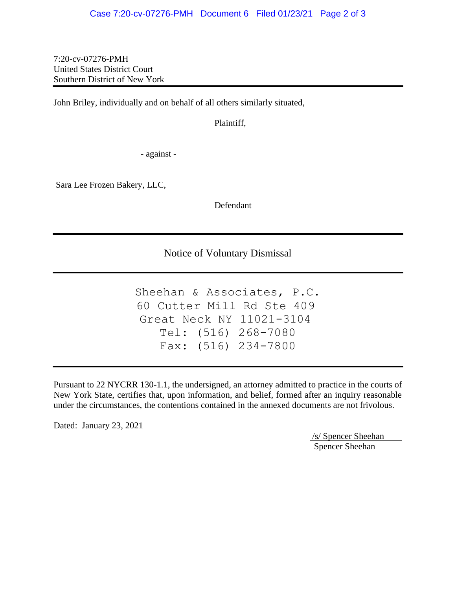7:20-cv-07276-PMH United States District Court Southern District of New York

John Briley, individually and on behalf of all others similarly situated,

Plaintiff,

- against -

Sara Lee Frozen Bakery, LLC,

Defendant

Notice of Voluntary Dismissal

```
Sheehan & Associates, P.C.
   Tel: (516) 268-7080
   Fax: (516) 234-7800
60 Cutter Mill Rd Ste 409
Great Neck NY 11021-3104
```
Pursuant to 22 NYCRR 130-1.1, the undersigned, an attorney admitted to practice in the courts of New York State, certifies that, upon information, and belief, formed after an inquiry reasonable under the circumstances, the contentions contained in the annexed documents are not frivolous.

Dated: January 23, 2021

/s/ Spencer Sheehan Spencer Sheehan